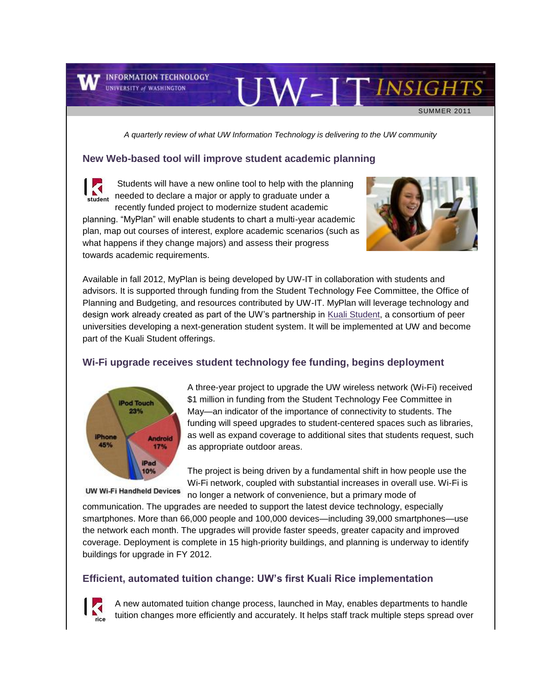**T** INFORMATION TECHNOLOGY **UNIVERSITY of WASHINGTON** 

towards academic requirements.

SUMMER 2011

*A quarterly review of what UW Information Technology is delivering to the UW community*

#### **New Web-based tool will improve student academic planning**

Students will have a new online tool to help with the planning needed to declare a major or apply to graduate under a tudent recently funded project to modernize student academic planning. "MyPlan" will enable students to chart a multi-year academic plan, map out courses of interest, explore academic scenarios (such as

what happens if they change majors) and assess their progress



JW-ITINSIGHTS

Available in fall 2012, MyPlan is being developed by UW-IT in collaboration with students and advisors. It is supported through funding from the Student Technology Fee Committee, the Office of Planning and Budgeting, and resources contributed by UW-IT. MyPlan will leverage technology and design work already created as part of the UW's partnership in [Kuali Student,](http://engage.washington.edu/site/R?i=lJXhPHijTNWf-EN1e6yFfg..) a consortium of peer universities developing a next-generation student system. It will be implemented at UW and become part of the Kuali Student offerings.

#### **Wi-Fi upgrade receives student technology fee funding, begins deployment**



A three-year project to upgrade the UW wireless network (Wi-Fi) received \$1 million in funding from the Student Technology Fee Committee in May—an indicator of the importance of connectivity to students. The funding will speed upgrades to student-centered spaces such as libraries, as well as expand coverage to additional sites that students request, such as appropriate outdoor areas.

The project is being driven by a fundamental shift in how people use the Wi-Fi network, coupled with substantial increases in overall use. Wi-Fi is no longer a network of convenience, but a primary mode of

**UW Wi-Fi Handheld Devices** 

communication. The upgrades are needed to support the latest device technology, especially smartphones. More than 66,000 people and 100,000 devices—including 39,000 smartphones—use the network each month. The upgrades will provide faster speeds, greater capacity and improved coverage. Deployment is complete in 15 high-priority buildings, and planning is underway to identify buildings for upgrade in FY 2012.

#### **Efficient, automated tuition change: UW's first Kuali Rice implementation**



A new automated tuition change process, launched in May, enables departments to handle tuition changes more efficiently and accurately. It helps staff track multiple steps spread over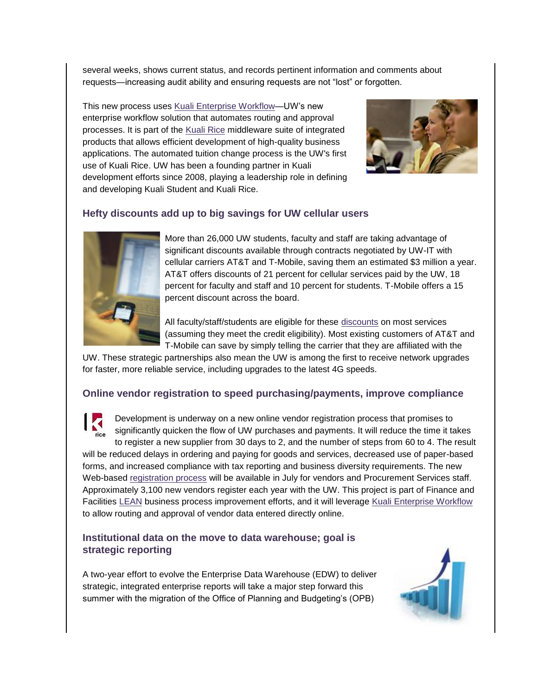several weeks, shows current status, and records pertinent information and comments about requests—increasing audit ability and ensuring requests are not "lost" or forgotten.

This new process uses [Kuali Enterprise Workflow—](http://engage.washington.edu/site/R?i=TFAXISLNd_nkmXa5ZygCOA..)UW's new enterprise workflow solution that automates routing and approval processes. It is part of the [Kuali Rice](http://engage.washington.edu/site/R?i=b5QRZF00xnj-g_-LcaBBmg..) middleware suite of integrated products that allows efficient development of high-quality business applications. The automated tuition change process is the UW's first use of Kuali Rice. UW has been a founding partner in Kuali development efforts since 2008, playing a leadership role in defining and developing Kuali Student and Kuali Rice.



# **Hefty discounts add up to big savings for UW cellular users**



More than 26,000 UW students, faculty and staff are taking advantage of significant discounts available through contracts negotiated by UW-IT with cellular carriers AT&T and T-Mobile, saving them an estimated \$3 million a year. AT&T offers discounts of 21 percent for cellular services paid by the UW, 18 percent for faculty and staff and 10 percent for students. T-Mobile offers a 15 percent discount across the board.

All faculty/staff/students are eligible for these [discounts](http://engage.washington.edu/site/R?i=yrBCoZpOwhYkzFwqCPSfXg..) on most services (assuming they meet the credit eligibility). Most existing customers of AT&T and T-Mobile can save by simply telling the carrier that they are affiliated with the

UW. These strategic partnerships also mean the UW is among the first to receive network upgrades for faster, more reliable service, including upgrades to the latest 4G speeds.

#### **Online vendor registration to speed purchasing/payments, improve compliance**



Development is underway on a new online vendor registration process that promises to significantly quicken the flow of UW purchases and payments. It will reduce the time it takes to register a new supplier from 30 days to 2, and the number of steps from 60 to 4. The result

will be reduced delays in ordering and paying for goods and services, decreased use of paper-based forms, and increased compliance with tax reporting and business diversity requirements. The new Web-based [registration process](http://engage.washington.edu/site/R?i=SLaOtqDkrgtq6oa6-3nQBQ..) will be available in July for vendors and Procurement Services staff. Approximately 3,100 new vendors register each year with the UW. This project is part of Finance and Facilities [LEAN](http://engage.washington.edu/site/R?i=gHewOdSkOTYCl1XFKYuykA..) business process improvement efforts, and it will leverage [Kuali Enterprise Workflow](http://engage.washington.edu/site/R?i=Pm6ljTrhT4yolpagU2a2_g..) to allow routing and approval of vendor data entered directly online.

### **Institutional data on the move to data warehouse; goal is strategic reporting**

A two-year effort to evolve the Enterprise Data Warehouse (EDW) to deliver strategic, integrated enterprise reports will take a major step forward this summer with the migration of the Office of Planning and Budgeting's (OPB)